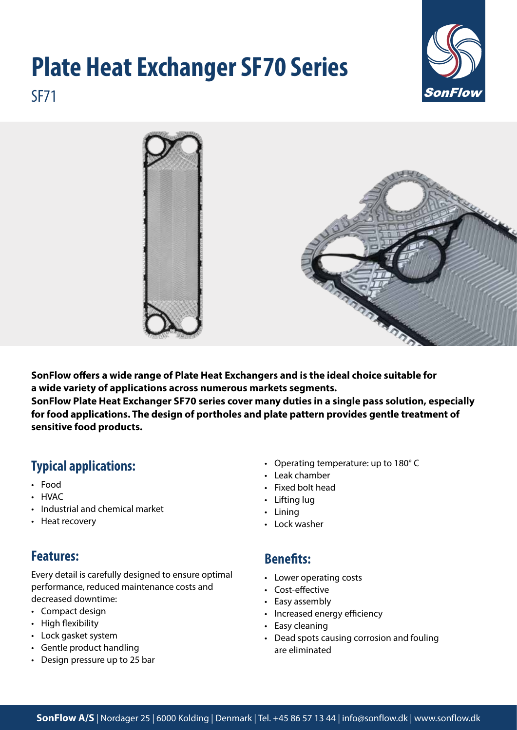# **Plate Heat Exchanger SF70 Series** SF71





**SonFlow offers a wide range of Plate Heat Exchangers and is the ideal choice suitable for a wide variety of applications across numerous markets segments.**

**SonFlow Plate Heat Exchanger SF70 series cover many duties in a single pass solution, especially for food applications. The design of portholes and plate pattern provides gentle treatment of sensitive food products.**

## **Typical applications:**

- Food
- HVAC
- Industrial and chemical market
- Heat recovery

#### **Features:**

Every detail is carefully designed to ensure optimal performance, reduced maintenance costs and decreased downtime:

- Compact design
- High flexibility
- Lock gasket system
- Gentle product handling
- Design pressure up to 25 bar
- Operating temperature: up to 180° C
- Leak chamber
- Fixed bolt head
- Lifting lug
- Lining
- Lock washer

#### **Benefits:**

- Lower operating costs
- Cost-effective
- Easy assembly
- Increased energy efficiency
- Easy cleaning
- Dead spots causing corrosion and fouling are eliminated